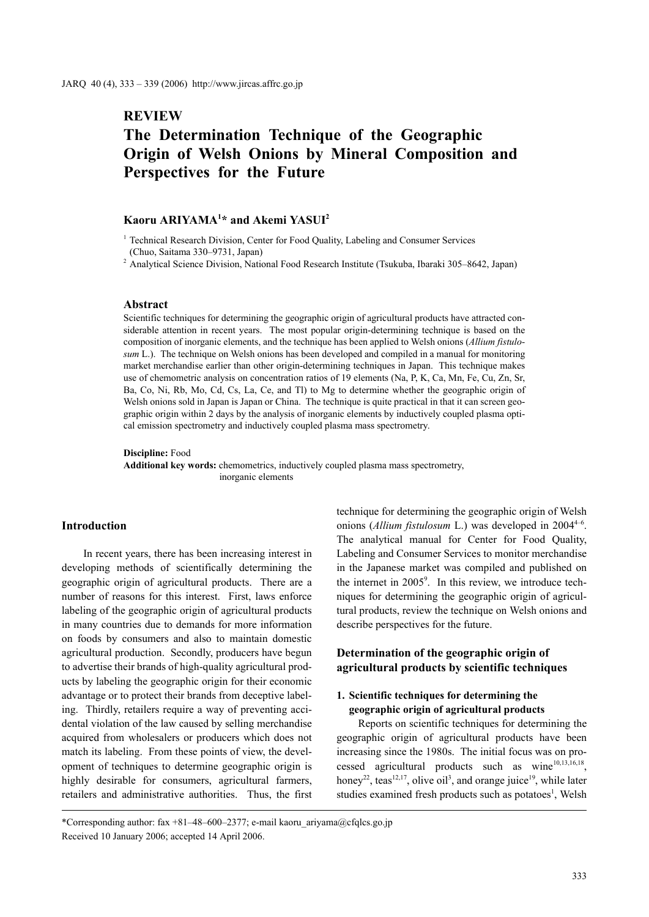# **REVIEW**

# **The Determination Technique of the Geographic Origin of Welsh Onions by Mineral Composition and Perspectives for the Future**

### **Kaoru ARIYAMA1 \* and Akemi YASUI2**

<sup>1</sup> Technical Research Division, Center for Food Quality, Labeling and Consumer Services (Chuo, Saitama 330–9731, Japan)

<sup>2</sup> Analytical Science Division, National Food Research Institute (Tsukuba, Ibaraki 305–8642, Japan)

#### **Abstract**

Scientific techniques for determining the geographic origin of agricultural products have attracted considerable attention in recent years. The most popular origin-determining technique is based on the composition of inorganic elements, and the technique has been applied to Welsh onions (*Allium fistulosum* L.). The technique on Welsh onions has been developed and compiled in a manual for monitoring market merchandise earlier than other origin-determining techniques in Japan. This technique makes use of chemometric analysis on concentration ratios of 19 elements (Na, P, K, Ca, Mn, Fe, Cu, Zn, Sr, Ba, Co, Ni, Rb, Mo, Cd, Cs, La, Ce, and Tl) to Mg to determine whether the geographic origin of Welsh onions sold in Japan is Japan or China. The technique is quite practical in that it can screen geographic origin within 2 days by the analysis of inorganic elements by inductively coupled plasma optical emission spectrometry and inductively coupled plasma mass spectrometry.

**Discipline:** Food

**Additional key words:** chemometrics, inductively coupled plasma mass spectrometry, inorganic elements

#### **Introduction**

In recent years, there has been increasing interest in developing methods of scientifically determining the geographic origin of agricultural products. There are a number of reasons for this interest. First, laws enforce labeling of the geographic origin of agricultural products in many countries due to demands for more information on foods by consumers and also to maintain domestic agricultural production. Secondly, producers have begun to advertise their brands of high-quality agricultural products by labeling the geographic origin for their economic advantage or to protect their brands from deceptive labeling. Thirdly, retailers require a way of preventing accidental violation of the law caused by selling merchandise acquired from wholesalers or producers which does not match its labeling. From these points of view, the development of techniques to determine geographic origin is highly desirable for consumers, agricultural farmers, retailers and administrative authorities. Thus, the first technique for determining the geographic origin of Welsh onions (*Allium fistulosum* L.) was developed in 2004<sup>4-6</sup>. The analytical manual for Center for Food Quality, Labeling and Consumer Services to monitor merchandise in the Japanese market was compiled and published on the internet in  $2005^\circ$ . In this review, we introduce techniques for determining the geographic origin of agricultural products, review the technique on Welsh onions and describe perspectives for the future.

# **Determination of the geographic origin of agricultural products by scientific techniques**

# **1. Scientific techniques for determining the geographic origin of agricultural products**

Reports on scientific techniques for determining the geographic origin of agricultural products have been increasing since the 1980s. The initial focus was on processed agricultural products such as wine10,13,16,18, honey<sup>22</sup>, teas<sup>12,17</sup>, olive oil<sup>3</sup>, and orange juice<sup>19</sup>, while later studies examined fresh products such as potatoes<sup>1</sup>, Welsh

<sup>\*</sup>Corresponding author: fax +81–48–600–2377; e-mail kaoru ariyama@cfqlcs.go.jp Received 10 January 2006; accepted 14 April 2006.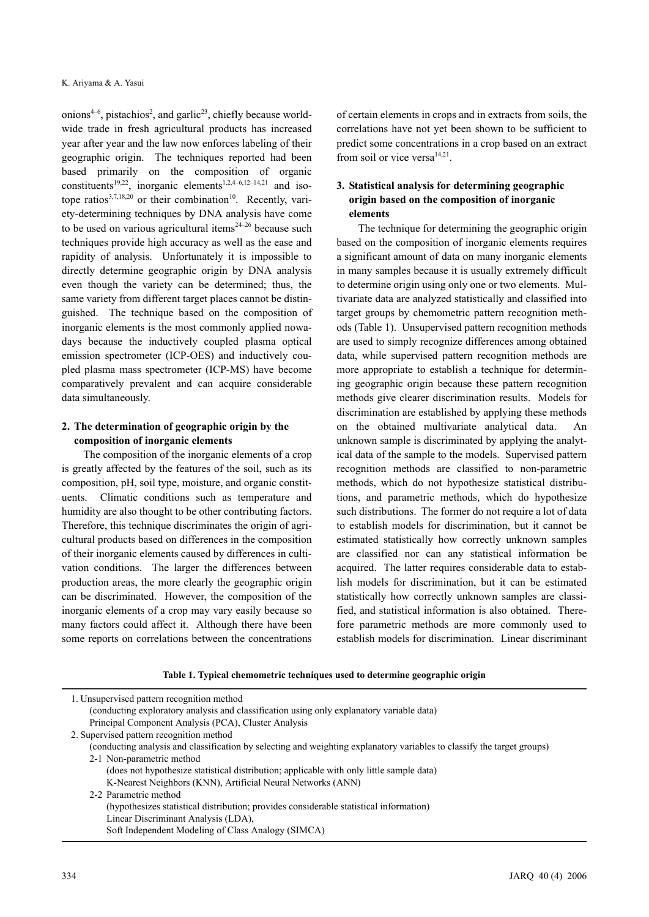onions<sup> $4-6$ </sup>, pistachios<sup>2</sup>, and garlic<sup>23</sup>, chiefly because worldwide trade in fresh agricultural products has increased year after year and the law now enforces labeling of their geographic origin. The techniques reported had been based primarily on the composition of organic constituents<sup>19,22</sup>, inorganic elements<sup>1,2,4–6,12–14,21</sup> and isotope ratios<sup>3,7,18,20</sup> or their combination<sup>10</sup>. Recently, variety-determining techniques by DNA analysis have come to be used on various agricultural items $24-26$  because such techniques provide high accuracy as well as the ease and rapidity of analysis. Unfortunately it is impossible to directly determine geographic origin by DNA analysis even though the variety can be determined; thus, the same variety from different target places cannot be distinguished. The technique based on the composition of inorganic elements is the most commonly applied nowadays because the inductively coupled plasma optical emission spectrometer (ICP-OES) and inductively coupled plasma mass spectrometer (ICP-MS) have become comparatively prevalent and can acquire considerable data simultaneously.

# **2. The determination of geographic origin by the composition of inorganic elements**

The composition of the inorganic elements of a crop is greatly affected by the features of the soil, such as its composition, pH, soil type, moisture, and organic constituents. Climatic conditions such as temperature and humidity are also thought to be other contributing factors. Therefore, this technique discriminates the origin of agricultural products based on differences in the composition of their inorganic elements caused by differences in cultivation conditions. The larger the differences between production areas, the more clearly the geographic origin can be discriminated. However, the composition of the inorganic elements of a crop may vary easily because so many factors could affect it. Although there have been some reports on correlations between the concentrations of certain elements in crops and in extracts from soils, the correlations have not yet been shown to be sufficient to predict some concentrations in a crop based on an extract from soil or vice versa $14,21$ .

# **3. Statistical analysis for determining geographic origin based on the composition of inorganic elements**

The technique for determining the geographic origin based on the composition of inorganic elements requires a significant amount of data on many inorganic elements in many samples because it is usually extremely difficult to determine origin using only one or two elements. Multivariate data are analyzed statistically and classified into target groups by chemometric pattern recognition methods (Table 1). Unsupervised pattern recognition methods are used to simply recognize differences among obtained data, while supervised pattern recognition methods are more appropriate to establish a technique for determining geographic origin because these pattern recognition methods give clearer discrimination results. Models for discrimination are established by applying these methods on the obtained multivariate analytical data. An unknown sample is discriminated by applying the analytical data of the sample to the models. Supervised pattern recognition methods are classified to non-parametric methods, which do not hypothesize statistical distributions, and parametric methods, which do hypothesize such distributions. The former do not require a lot of data to establish models for discrimination, but it cannot be estimated statistically how correctly unknown samples are classified nor can any statistical information be acquired. The latter requires considerable data to establish models for discrimination, but it can be estimated statistically how correctly unknown samples are classified, and statistical information is also obtained. Therefore parametric methods are more commonly used to establish models for discrimination. Linear discriminant

**Table 1. Typical chemometric techniques used to determine geographic origin**

| 1. Unsupervised pattern recognition method                                                                              |
|-------------------------------------------------------------------------------------------------------------------------|
| (conducting exploratory analysis and classification using only explanatory variable data)                               |
| Principal Component Analysis (PCA), Cluster Analysis                                                                    |
| 2. Supervised pattern recognition method                                                                                |
| (conducting analysis and classification by selecting and weighting explanatory variables to classify the target groups) |
| 2-1 Non-parametric method                                                                                               |
| (does not hypothesize statistical distribution; applicable with only little sample data)                                |
| K-Nearest Neighbors (KNN), Artificial Neural Networks (ANN)                                                             |
| 2-2 Parametric method                                                                                                   |
| (hypothesizes statistical distribution; provides considerable statistical information)                                  |
| Linear Discriminant Analysis (LDA),                                                                                     |
| Soft Independent Modeling of Class Analogy (SIMCA)                                                                      |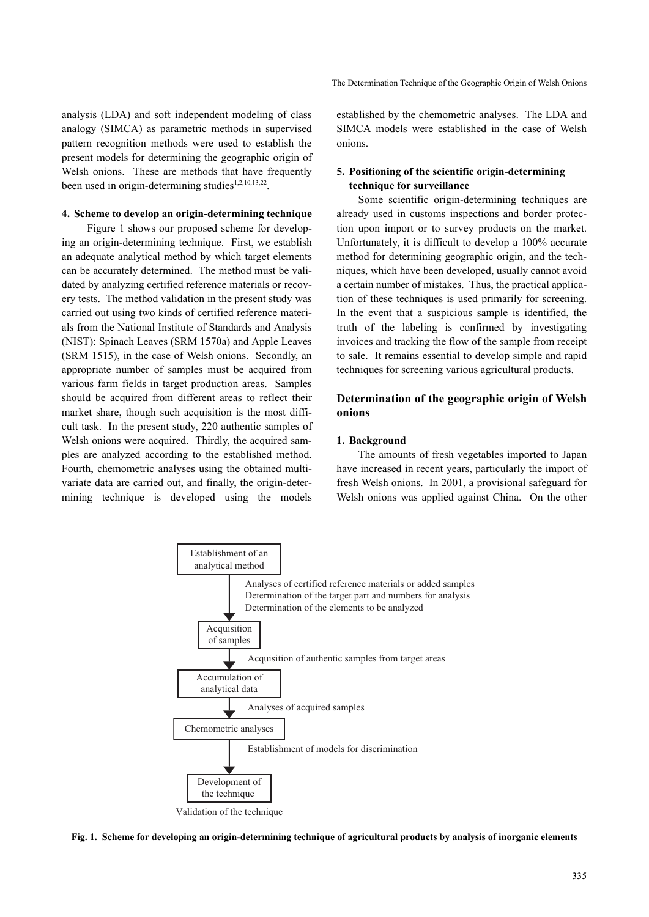The Determination Technique of the Geographic Origin of Welsh Onions

analysis (LDA) and soft independent modeling of class analogy (SIMCA) as parametric methods in supervised pattern recognition methods were used to establish the present models for determining the geographic origin of Welsh onions. These are methods that have frequently been used in origin-determining studies<sup>1,2,10,13,22</sup>.

#### **4. Scheme to develop an origin-determining technique**

 Figure 1 shows our proposed scheme for developing an origin-determining technique. First, we establish an adequate analytical method by which target elements can be accurately determined. The method must be validated by analyzing certified reference materials or recovery tests. The method validation in the present study was carried out using two kinds of certified reference materials from the National Institute of Standards and Analysis (NIST): Spinach Leaves (SRM 1570a) and Apple Leaves (SRM 1515), in the case of Welsh onions. Secondly, an appropriate number of samples must be acquired from various farm fields in target production areas. Samples should be acquired from different areas to reflect their market share, though such acquisition is the most difficult task. In the present study, 220 authentic samples of Welsh onions were acquired. Thirdly, the acquired samples are analyzed according to the established method. Fourth, chemometric analyses using the obtained multivariate data are carried out, and finally, the origin-determining technique is developed using the models established by the chemometric analyses. The LDA and SIMCA models were established in the case of Welsh onions.

## **5. Positioning of the scientific origin-determining technique for surveillance**

Some scientific origin-determining techniques are already used in customs inspections and border protection upon import or to survey products on the market. Unfortunately, it is difficult to develop a 100% accurate method for determining geographic origin, and the techniques, which have been developed, usually cannot avoid a certain number of mistakes. Thus, the practical application of these techniques is used primarily for screening. In the event that a suspicious sample is identified, the truth of the labeling is confirmed by investigating invoices and tracking the flow of the sample from receipt to sale. It remains essential to develop simple and rapid techniques for screening various agricultural products.

# **Determination of the geographic origin of Welsh onions**

#### **1. Background**

The amounts of fresh vegetables imported to Japan have increased in recent years, particularly the import of fresh Welsh onions. In 2001, a provisional safeguard for Welsh onions was applied against China. On the other



**Fig. 1. Scheme for developing an origin-determining technique of agricultural products by analysis of inorganic elements**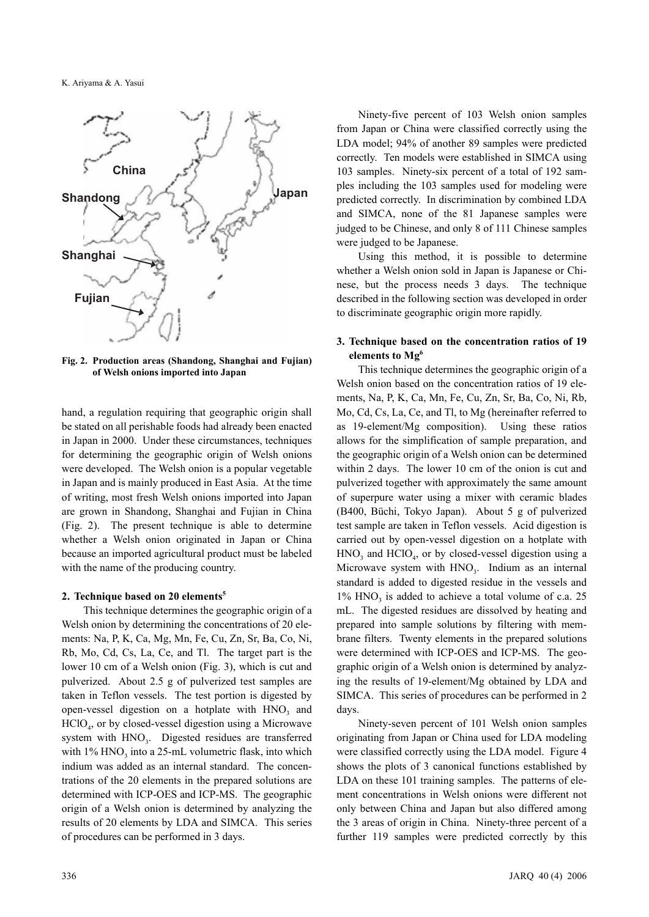

**Fig. 2. Production areas (Shandong, Shanghai and Fujian) of Welsh onions imported into Japan**

hand, a regulation requiring that geographic origin shall be stated on all perishable foods had already been enacted in Japan in 2000. Under these circumstances, techniques for determining the geographic origin of Welsh onions were developed. The Welsh onion is a popular vegetable in Japan and is mainly produced in East Asia. At the time of writing, most fresh Welsh onions imported into Japan are grown in Shandong, Shanghai and Fujian in China (Fig. 2). The present technique is able to determine whether a Welsh onion originated in Japan or China because an imported agricultural product must be labeled with the name of the producing country.

#### **2. Technique based on 20 elements5**

This technique determines the geographic origin of a Welsh onion by determining the concentrations of 20 elements: Na, P, K, Ca, Mg, Mn, Fe, Cu, Zn, Sr, Ba, Co, Ni, Rb, Mo, Cd, Cs, La, Ce, and Tl. The target part is the lower 10 cm of a Welsh onion (Fig. 3), which is cut and pulverized. About 2.5 g of pulverized test samples are taken in Teflon vessels. The test portion is digested by open-vessel digestion on a hotplate with  $HNO<sub>3</sub>$  and HClO4, or by closed-vessel digestion using a Microwave system with  $HNO<sub>3</sub>$ . Digested residues are transferred with  $1\%$  HNO<sub>3</sub> into a 25-mL volumetric flask, into which indium was added as an internal standard. The concentrations of the 20 elements in the prepared solutions are determined with ICP-OES and ICP-MS. The geographic origin of a Welsh onion is determined by analyzing the results of 20 elements by LDA and SIMCA. This series of procedures can be performed in 3 days.

Ninety-five percent of 103 Welsh onion samples from Japan or China were classified correctly using the LDA model; 94% of another 89 samples were predicted correctly. Ten models were established in SIMCA using 103 samples. Ninety-six percent of a total of 192 samples including the 103 samples used for modeling were predicted correctly. In discrimination by combined LDA and SIMCA, none of the 81 Japanese samples were judged to be Chinese, and only 8 of 111 Chinese samples were judged to be Japanese.

Using this method, it is possible to determine whether a Welsh onion sold in Japan is Japanese or Chinese, but the process needs 3 days. The technique described in the following section was developed in order to discriminate geographic origin more rapidly.

### **3. Technique based on the concentration ratios of 19 elements to Mg6**

This technique determines the geographic origin of a Welsh onion based on the concentration ratios of 19 elements, Na, P, K, Ca, Mn, Fe, Cu, Zn, Sr, Ba, Co, Ni, Rb, Mo, Cd, Cs, La, Ce, and Tl, to Mg (hereinafter referred to as 19-element/Mg composition). Using these ratios allows for the simplification of sample preparation, and the geographic origin of a Welsh onion can be determined within 2 days. The lower 10 cm of the onion is cut and pulverized together with approximately the same amount of superpure water using a mixer with ceramic blades (B400, Büchi, Tokyo Japan). About 5 g of pulverized test sample are taken in Teflon vessels. Acid digestion is carried out by open-vessel digestion on a hotplate with  $HNO<sub>3</sub>$  and  $HClO<sub>4</sub>$ , or by closed-vessel digestion using a Microwave system with  $HNO<sub>3</sub>$ . Indium as an internal standard is added to digested residue in the vessels and  $1\%$  HNO<sub>3</sub> is added to achieve a total volume of c.a. 25 mL. The digested residues are dissolved by heating and prepared into sample solutions by filtering with membrane filters. Twenty elements in the prepared solutions were determined with ICP-OES and ICP-MS. The geographic origin of a Welsh onion is determined by analyzing the results of 19-element/Mg obtained by LDA and SIMCA. This series of procedures can be performed in 2 days.

Ninety-seven percent of 101 Welsh onion samples originating from Japan or China used for LDA modeling were classified correctly using the LDA model. Figure 4 shows the plots of 3 canonical functions established by LDA on these 101 training samples. The patterns of element concentrations in Welsh onions were different not only between China and Japan but also differed among the 3 areas of origin in China. Ninety-three percent of a further 119 samples were predicted correctly by this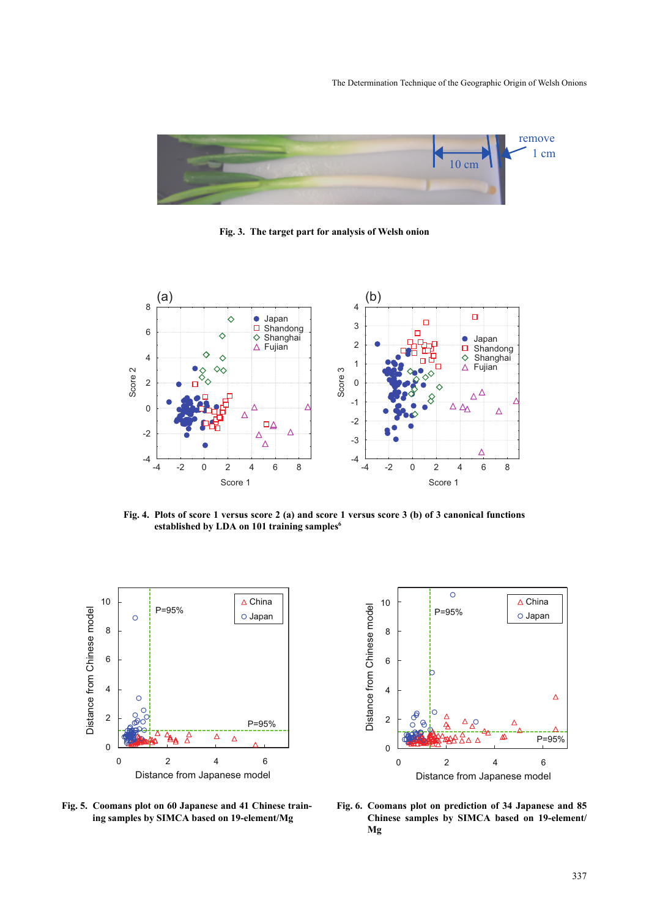

**Fig. 3. The target part for analysis of Welsh onion**



**Fig. 4. Plots of score 1 versus score 2 (a) and score 1 versus score 3 (b) of 3 canonical functions established by LDA on 101 training samples6**



 $\circ$ 10 ∆ China Distance from Chinese model Distance from Chinese model Japan P=95% 8 6 4  $\Delta$ 2 P=95% Λ  $\prime$ 0 0246 Distance from Japanese model

**Fig. 5. Coomans plot on 60 Japanese and 41 Chinese training samples by SIMCA based on 19-element/Mg**

**Fig. 6. Coomans plot on prediction of 34 Japanese and 85 Chinese samples by SIMCA based on 19-element/ Mg**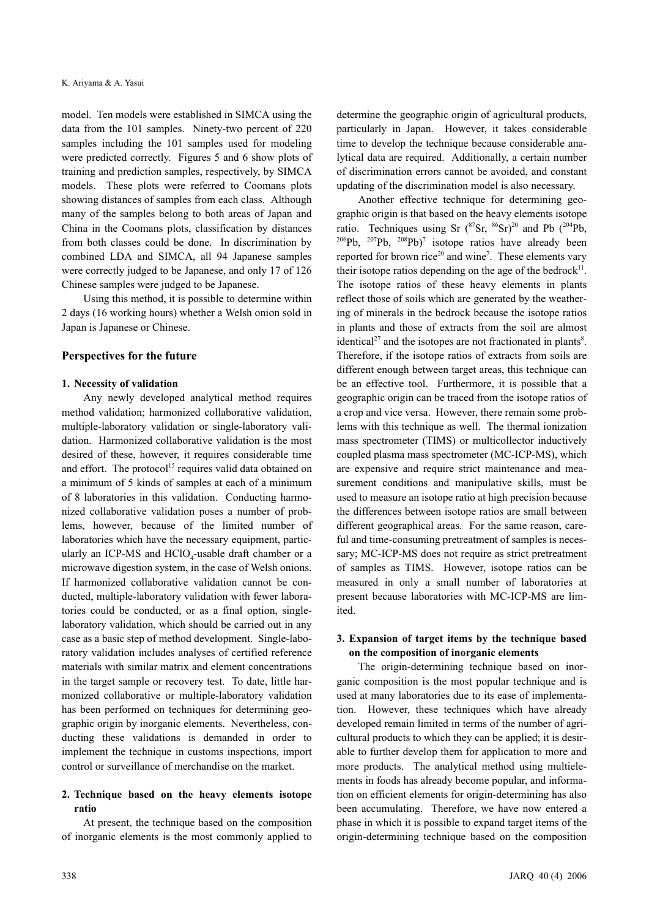model. Ten models were established in SIMCA using the data from the 101 samples. Ninety-two percent of 220 samples including the 101 samples used for modeling were predicted correctly. Figures 5 and 6 show plots of training and prediction samples, respectively, by SIMCA models. These plots were referred to Coomans plots showing distances of samples from each class. Although many of the samples belong to both areas of Japan and China in the Coomans plots, classification by distances from both classes could be done. In discrimination by combined LDA and SIMCA, all 94 Japanese samples were correctly judged to be Japanese, and only 17 of 126 Chinese samples were judged to be Japanese.

Using this method, it is possible to determine within 2 days (16 working hours) whether a Welsh onion sold in Japan is Japanese or Chinese.

### **Perspectives for the future**

#### **1. Necessity of validation**

Any newly developed analytical method requires method validation; harmonized collaborative validation, multiple-laboratory validation or single-laboratory validation. Harmonized collaborative validation is the most desired of these, however, it requires considerable time and effort. The protocol<sup>15</sup> requires valid data obtained on a minimum of 5 kinds of samples at each of a minimum of 8 laboratories in this validation. Conducting harmonized collaborative validation poses a number of problems, however, because of the limited number of laboratories which have the necessary equipment, particularly an ICP-MS and  $HClO<sub>4</sub>$ -usable draft chamber or a microwave digestion system, in the case of Welsh onions. If harmonized collaborative validation cannot be conducted, multiple-laboratory validation with fewer laboratories could be conducted, or as a final option, singlelaboratory validation, which should be carried out in any case as a basic step of method development. Single-laboratory validation includes analyses of certified reference materials with similar matrix and element concentrations in the target sample or recovery test. To date, little harmonized collaborative or multiple-laboratory validation has been performed on techniques for determining geographic origin by inorganic elements. Nevertheless, conducting these validations is demanded in order to implement the technique in customs inspections, import control or surveillance of merchandise on the market.

# **2. Technique based on the heavy elements isotope ratio**

At present, the technique based on the composition of inorganic elements is the most commonly applied to determine the geographic origin of agricultural products, particularly in Japan. However, it takes considerable time to develop the technique because considerable analytical data are required. Additionally, a certain number of discrimination errors cannot be avoided, and constant updating of the discrimination model is also necessary.

Another effective technique for determining geographic origin is that based on the heavy elements isotope ratio. Techniques using Sr  $(^{87}Sr, ^{86}Sr)^{20}$  and Pb  $(^{204}Pb,$  $^{206}Pb$ ,  $^{207}Pb$ ,  $^{208}Pb$ )<sup>7</sup> isotope ratios have already been reported for brown rice<sup>20</sup> and wine<sup>7</sup>. These elements vary their isotope ratios depending on the age of the bedrock<sup>11</sup>. The isotope ratios of these heavy elements in plants reflect those of soils which are generated by the weathering of minerals in the bedrock because the isotope ratios in plants and those of extracts from the soil are almost identical<sup>27</sup> and the isotopes are not fractionated in plants<sup>8</sup>. Therefore, if the isotope ratios of extracts from soils are different enough between target areas, this technique can be an effective tool. Furthermore, it is possible that a geographic origin can be traced from the isotope ratios of a crop and vice versa. However, there remain some problems with this technique as well. The thermal ionization mass spectrometer (TIMS) or multicollector inductively coupled plasma mass spectrometer (MC-ICP-MS), which are expensive and require strict maintenance and measurement conditions and manipulative skills, must be used to measure an isotope ratio at high precision because the differences between isotope ratios are small between different geographical areas. For the same reason, careful and time-consuming pretreatment of samples is necessary; MC-ICP-MS does not require as strict pretreatment of samples as TIMS. However, isotope ratios can be measured in only a small number of laboratories at present because laboratories with MC-ICP-MS are limited.

### **3. Expansion of target items by the technique based on the composition of inorganic elements**

The origin-determining technique based on inorganic composition is the most popular technique and is used at many laboratories due to its ease of implementation. However, these techniques which have already developed remain limited in terms of the number of agricultural products to which they can be applied; it is desirable to further develop them for application to more and more products. The analytical method using multielements in foods has already become popular, and information on efficient elements for origin-determining has also been accumulating. Therefore, we have now entered a phase in which it is possible to expand target items of the origin-determining technique based on the composition